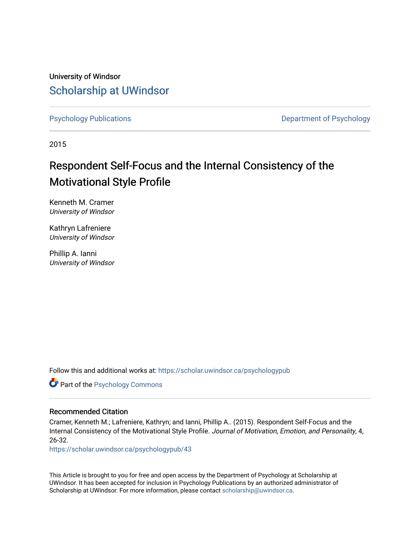University of Windsor [Scholarship at UWindsor](https://scholar.uwindsor.ca/) 

[Psychology Publications](https://scholar.uwindsor.ca/psychologypub) **Department of Psychology** 

2015

# Respondent Self-Focus and the Internal Consistency of the Motivational Style Profile

Kenneth M. Cramer University of Windsor

Kathryn Lafreniere University of Windsor

Phillip A. Ianni University of Windsor

Follow this and additional works at: [https://scholar.uwindsor.ca/psychologypub](https://scholar.uwindsor.ca/psychologypub?utm_source=scholar.uwindsor.ca%2Fpsychologypub%2F43&utm_medium=PDF&utm_campaign=PDFCoverPages) 

Part of the [Psychology Commons](http://network.bepress.com/hgg/discipline/404?utm_source=scholar.uwindsor.ca%2Fpsychologypub%2F43&utm_medium=PDF&utm_campaign=PDFCoverPages) 

## Recommended Citation

Cramer, Kenneth M.; Lafreniere, Kathryn; and Ianni, Phillip A.. (2015). Respondent Self-Focus and the Internal Consistency of the Motivational Style Profile. Journal of Motivation, Emotion, and Personality, 4, 26-32.

[https://scholar.uwindsor.ca/psychologypub/43](https://scholar.uwindsor.ca/psychologypub/43?utm_source=scholar.uwindsor.ca%2Fpsychologypub%2F43&utm_medium=PDF&utm_campaign=PDFCoverPages)

This Article is brought to you for free and open access by the Department of Psychology at Scholarship at UWindsor. It has been accepted for inclusion in Psychology Publications by an authorized administrator of Scholarship at UWindsor. For more information, please contact [scholarship@uwindsor.ca.](mailto:scholarship@uwindsor.ca)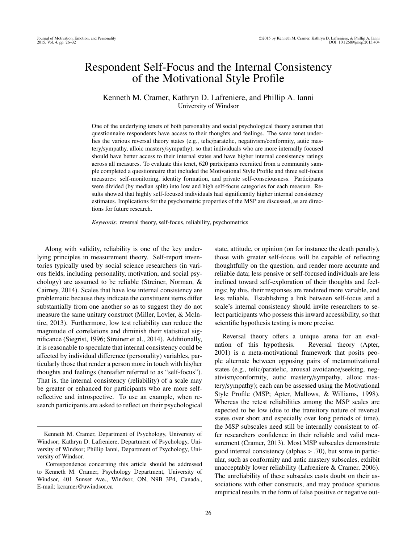# Respondent Self-Focus and the Internal Consistency of the Motivational Style Profile

### Kenneth M. Cramer, Kathryn D. Lafreniere, and Phillip A. Ianni University of Windsor

One of the underlying tenets of both personality and social psychological theory assumes that questionnaire respondents have access to their thoughts and feelings. The same tenet underlies the various reversal theory states (e.g., telic/paratelic, negativism/conformity, autic mastery/sympathy, alloic mastery/sympathy), so that individuals who are more internally focused should have better access to their internal states and have higher internal consistency ratings across all measures. To evaluate this tenet, 620 participants recruited from a community sample completed a questionnaire that included the Motivational Style Profile and three self-focus measures: self-monitoring, identity formation, and private self-consciousness. Participants were divided (by median split) into low and high self-focus categories for each measure. Results showed that highly self-focused individuals had significantly higher internal consistency estimates. Implications for the psychometric properties of the MSP are discussed, as are directions for future research.

*Keywords:* reversal theory, self-focus, reliability, psychometrics

Along with validity, reliability is one of the key underlying principles in measurement theory. Self-report inventories typically used by social science researchers (in various fields, including personality, motivation, and social psychology) are assumed to be reliable (Streiner, Norman, & Cairney, 2014). Scales that have low internal consistency are problematic because they indicate the constituent items differ substantially from one another so as to suggest they do not measure the same unitary construct (Miller, Lovler, & McIntire, 2013). Furthermore, low test reliability can reduce the magnitude of correlations and diminish their statistical significance (Siegrist, 1996; Streiner et al., 2014). Additionally, it is reasonable to speculate that internal consistency could be affected by individual difference (personality) variables, particularly those that render a person more in touch with his/her thoughts and feelings (hereafter referred to as "self-focus"). That is, the internal consistency (reliability) of a scale may be greater or enhanced for participants who are more selfreflective and introspective. To use an example, when research participants are asked to reflect on their psychological

state, attitude, or opinion (on for instance the death penalty), those with greater self-focus will be capable of reflecting thoughtfully on the question, and render more accurate and reliable data; less pensive or self-focused individuals are less inclined toward self-exploration of their thoughts and feelings; by this, their responses are rendered more variable, and less reliable. Establishing a link between self-focus and a scale's internal consistency should invite researchers to select participants who possess this inward accessibility, so that scientific hypothesis testing is more precise.

Reversal theory offers a unique arena for an evaluation of this hypothesis. Reversal theory (Apter, 2001) is a meta-motivational framework that posits people alternate between opposing pairs of metamotivational states (e.g., telic/paratelic, arousal avoidance/seeking, negativism/conformity, autic mastery/sympathy, alloic mastery/sympathy); each can be assessed using the Motivational Style Profile (MSP; Apter, Mallows, & Williams, 1998). Whereas the retest reliabilities among the MSP scales are expected to be low (due to the transitory nature of reversal states over short and especially over long periods of time), the MSP subscales need still be internally consistent to offer researchers confidence in their reliable and valid measurement (Cramer, 2013). Most MSP subscales demonstrate good internal consistency (alphas  $> .70$ ), but some in particular, such as conformity and autic mastery subscales, exhibit unacceptably lower reliability (Lafreniere & Cramer, 2006). The unreliability of these subscales casts doubt on their associations with other constructs, and may produce spurious empirical results in the form of false positive or negative out-

Kenneth M. Cramer, Department of Psychology, University of Windsor; Kathryn D. Lafreniere, Department of Psychology, University of Windsor; Phillip Ianni, Department of Psychology, University of Windsor.

Correspondence concerning this article should be addressed to Kenneth M. Cramer, Psychology Department, University of Windsor, 401 Sunset Ave., Windsor, ON, N9B 3P4, Canada., E-mail: kcramer@uwindsor.ca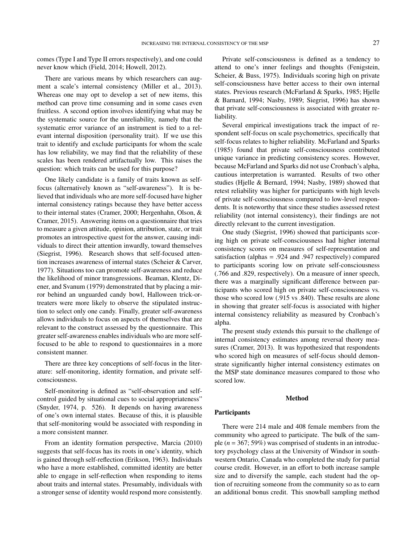comes (Type I and Type II errors respectively), and one could never know which (Field, 2014; Howell, 2012).

There are various means by which researchers can augment a scale's internal consistency (Miller et al., 2013). Whereas one may opt to develop a set of new items, this method can prove time consuming and in some cases even fruitless. A second option involves identifying what may be the systematic source for the unreliability, namely that the systematic error variance of an instrument is tied to a relevant internal disposition (personality trait). If we use this trait to identify and exclude participants for whom the scale has low reliability, we may find that the reliability of these scales has been rendered artifactually low. This raises the question: which traits can be used for this purpose?

One likely candidate is a family of traits known as selffocus (alternatively known as "self-awareness"). It is believed that individuals who are more self-focused have higher internal consistency ratings because they have better access to their internal states (Cramer, 2000; Hergenhahn, Olson, & Cramer, 2015). Answering items on a questionnaire that tries to measure a given attitude, opinion, attribution, state, or trait promotes an introspective quest for the answer, causing individuals to direct their attention inwardly, toward themselves (Siegrist, 1996). Research shows that self-focused attention increases awareness of internal states (Scheier & Carver, 1977). Situations too can promote self-awareness and reduce the likelihood of minor transgressions. Beaman, Klentz, Diener, and Svanum (1979) demonstrated that by placing a mirror behind an unguarded candy bowl, Halloween trick-ortreaters were more likely to observe the stipulated instruction to select only one candy. Finally, greater self-awareness allows individuals to focus on aspects of themselves that are relevant to the construct assessed by the questionnaire. This greater self-awareness enables individuals who are more selffocused to be able to respond to questionnaires in a more consistent manner.

There are three key conceptions of self-focus in the literature: self-monitoring, identity formation, and private selfconsciousness.

Self-monitoring is defined as "self-observation and selfcontrol guided by situational cues to social appropriateness" (Snyder, 1974, p. 526). It depends on having awareness of one's own internal states. Because of this, it is plausible that self-monitoring would be associated with responding in a more consistent manner.

From an identity formation perspective, Marcia (2010) suggests that self-focus has its roots in one's identity, which is gained through self-reflection (Erikson, 1963). Individuals who have a more established, committed identity are better able to engage in self-reflection when responding to items about traits and internal states. Presumably, individuals with a stronger sense of identity would respond more consistently.

Private self-consciousness is defined as a tendency to attend to one's inner feelings and thoughts (Fenigstein, Scheier, & Buss, 1975). Individuals scoring high on private self-consciousness have better access to their own internal states. Previous research (McFarland & Sparks, 1985; Hjelle & Barnard, 1994; Nasby, 1989; Siegrist, 1996) has shown that private self-consciousness is associated with greater reliability.

Several empirical investigations track the impact of respondent self-focus on scale psychometrics, specifically that self-focus relates to higher reliability. McFarland and Sparks (1985) found that private self-consciousness contributed unique variance in predicting consistency scores. However, because McFarland and Sparks did not use Cronbach's alpha, cautious interpretation is warranted. Results of two other studies (Hjelle & Bernard, 1994; Nasby, 1989) showed that retest reliability was higher for participants with high levels of private self-consciousness compared to low-level respondents. It is noteworthy that since these studies assessed retest reliability (not internal consistency), their findings are not directly relevant to the current investigation.

One study (Siegrist, 1996) showed that participants scoring high on private self-consciousness had higher internal consistency scores on measures of self-representation and satisfaction (alphas = .924 and .947 respectively) compared to participants scoring low on private self-consciousness (.766 and .829, respectively). On a measure of inner speech, there was a marginally significant difference between participants who scored high on private self-consciousness vs. those who scored low (.915 vs .840). These results are alone in showing that greater self-focus is associated with higher internal consistency reliability as measured by Cronbach's alpha.

The present study extends this pursuit to the challenge of internal consistency estimates among reversal theory measures (Cramer, 2013). It was hypothesized that respondents who scored high on measures of self-focus should demonstrate significantly higher internal consistency estimates on the MSP state dominance measures compared to those who scored low.

#### Method

#### **Participants**

There were 214 male and 408 female members from the community who agreed to participate. The bulk of the sample (*n* = 367; 59%) was comprised of students in an introductory psychology class at the University of Windsor in southwestern Ontario, Canada who completed the study for partial course credit. However, in an effort to both increase sample size and to diversify the sample, each student had the option of recruiting someone from the community so as to earn an additional bonus credit. This snowball sampling method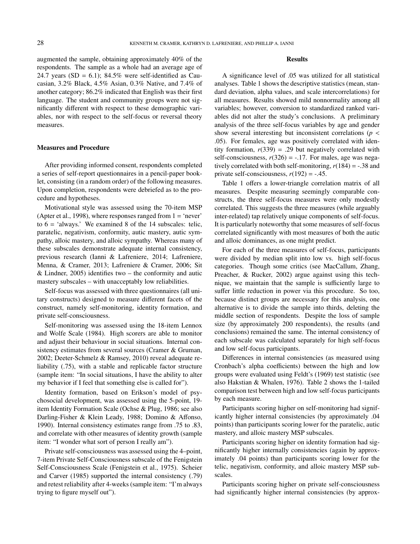augmented the sample, obtaining approximately 40% of the respondents. The sample as a whole had an average age of 24.7 years (SD =  $6.1$ ); 84.5% were self-identified as Caucasian, 3.2% Black, 4.5% Asian, 0.3% Native, and 7.4% of another category; 86.2% indicated that English was their first language. The student and community groups were not significantly different with respect to these demographic variables, nor with respect to the self-focus or reversal theory measures.

#### Measures and Procedure

After providing informed consent, respondents completed a series of self-report questionnaires in a pencil-paper booklet, consisting (in a random order) of the following measures. Upon completion, respondents were debriefed as to the procedure and hypotheses.

Motivational style was assessed using the 70-item MSP (Apter et al., 1998), where responses ranged from  $1 = 'never'$ to  $6 =$  'always.' We examined 8 of the 14 subscales: telic, paratelic, negativism, conformity, autic mastery, autic sympathy, alloic mastery, and alloic sympathy. Whereas many of these subscales demonstrate adequate internal consistency, previous research (Ianni & Lafreniere, 2014; Lafreniere, Menna, & Cramer, 2013; Lafreniere & Cramer, 2006; Sit & Lindner, 2005) identifies two – the conformity and autic mastery subscales – with unacceptably low reliabilities.

Self-focus was assessed with three questionnaires (all unitary constructs) designed to measure different facets of the construct, namely self-monitoring, identity formation, and private self-consciousness.

Self-monitoring was assessed using the 18-item Lennox and Wolfe Scale (1984). High scorers are able to monitor and adjust their behaviour in social situations. Internal consistency estimates from several sources (Cramer & Gruman, 2002; Deeter-Schmelz & Ramsey, 2010) reveal adequate reliability (.75), with a stable and replicable factor structure (sample item: "In social situations, I have the ability to alter my behavior if I feel that something else is called for").

Identity formation, based on Erikson's model of psychosocial development, was assessed using the 5-point, 19 item Identity Formation Scale (Ochse & Plug, 1986; see also Darling-Fisher & Klein Leady, 1988; Domino & Affonso, 1990). Internal consistency estimates range from .75 to .83, and correlate with other measures of identity growth (sample item: "I wonder what sort of person I really am").

Private self-consciousness was assessed using the 4–point, 7-item Private Self-Consciousness subscale of the Fenigstein Self-Consciousness Scale (Fenigstein et al., 1975). Scheier and Carver (1985) supported the internal consistency (.79) and retest reliability after 4-weeks (sample item: "I'm always trying to figure myself out").

#### Results

A significance level of .05 was utilized for all statistical analyses. Table 1 shows the descriptive statistics (mean, standard deviation, alpha values, and scale intercorrelations) for all measures. Results showed mild nonnormality among all variables; however, conversion to standardized ranked variables did not alter the study's conclusions. A preliminary analysis of the three self-focus variables by age and gender show several interesting but inconsistent correlations (*p* < .05). For females, age was positively correlated with identity formation,  $r(339) = .29$  but negatively correlated with self-consciousness,  $r(326) = -.17$ . For males, age was negatively correlated with both self-monitoring,  $r(184) = -.38$  and private self-consciousness,  $r(192) = -.45$ .

Table 1 offers a lower-triangle correlation matrix of all measures. Despite measuring seemingly comparable constructs, the three self-focus measures were only modestly correlated. This suggests the three measures (while arguably inter-related) tap relatively unique components of self-focus. It is particularly noteworthy that some measures of self-focus correlated significantly with most measures of both the autic and alloic dominances, as one might predict.

For each of the three measures of self-focus, participants were divided by median split into low vs. high self-focus categories. Though some critics (see MacCallum, Zhang, Preacher, & Rucker, 2002) argue against using this technique, we maintain that the sample is sufficiently large to suffer little reduction in power via this procedure. So too, because distinct groups are necessary for this analysis, one alternative is to divide the sample into thirds, deleting the middle section of respondents. Despite the loss of sample size (by approximately 200 respondents), the results (and conclusions) remained the same. The internal consistency of each subscale was calculated separately for high self-focus and low self-focus participants.

Differences in internal consistencies (as measured using Cronbach's alpha coefficients) between the high and low groups were evaluated using Feldt's (1969) test statistic (see also Hakstian & Whalen, 1976). Table 2 shows the 1-tailed comparison test between high and low self-focus participants by each measure.

Participants scoring higher on self-monitoring had significantly higher internal consistencies (by approximately .04 points) than participants scoring lower for the paratelic, autic mastery, and alloic mastery MSP subscales.

Participants scoring higher on identity formation had significantly higher internally consistencies (again by approximately .04 points) than participants scoring lower for the telic, negativism, conformity, and alloic mastery MSP subscales.

Participants scoring higher on private self-consciousness had significantly higher internal consistencies (by approx-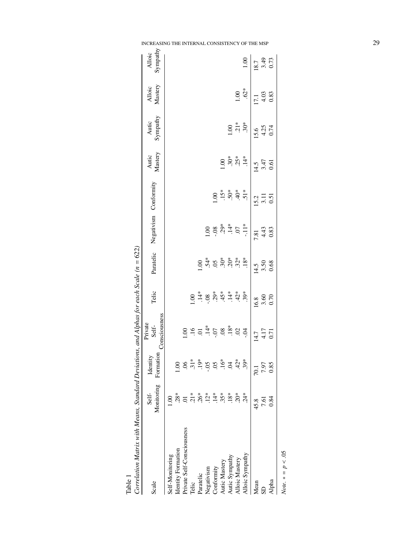| Correlation Matrix with Means, Standard Deviations, and Alphas for each Scale $(n = 622)$ |                     |                                                                      |                                                                                                                                                                         |                     |                                                                                                     |                                                       |                                                                                                                                                                                                                                                                    |                             |                                                     |                                                     |                                                     |
|-------------------------------------------------------------------------------------------|---------------------|----------------------------------------------------------------------|-------------------------------------------------------------------------------------------------------------------------------------------------------------------------|---------------------|-----------------------------------------------------------------------------------------------------|-------------------------------------------------------|--------------------------------------------------------------------------------------------------------------------------------------------------------------------------------------------------------------------------------------------------------------------|-----------------------------|-----------------------------------------------------|-----------------------------------------------------|-----------------------------------------------------|
| Scale                                                                                     | Monitoring<br>Self- | Formation<br>Identity                                                | Consciousness<br>Private<br>Self-                                                                                                                                       | Telic               | Paratelic                                                                                           | Negativism Conformity                                 |                                                                                                                                                                                                                                                                    | Autic<br>Mastery            | Autic<br>Sympathy                                   | Mastery<br>Alloic                                   | Sympathy<br>Alloic                                  |
| Self-Monitoring                                                                           |                     |                                                                      |                                                                                                                                                                         |                     |                                                                                                     |                                                       |                                                                                                                                                                                                                                                                    |                             |                                                     |                                                     |                                                     |
| Identity Formation                                                                        | $28*$               |                                                                      |                                                                                                                                                                         |                     |                                                                                                     |                                                       |                                                                                                                                                                                                                                                                    |                             |                                                     |                                                     |                                                     |
| Private Self-Consciousness                                                                |                     |                                                                      |                                                                                                                                                                         |                     |                                                                                                     |                                                       |                                                                                                                                                                                                                                                                    |                             |                                                     |                                                     |                                                     |
| Telic                                                                                     |                     |                                                                      |                                                                                                                                                                         | 00.1                |                                                                                                     |                                                       |                                                                                                                                                                                                                                                                    |                             |                                                     |                                                     |                                                     |
| Paratelic                                                                                 | $\frac{1}{26}$      |                                                                      |                                                                                                                                                                         |                     |                                                                                                     |                                                       |                                                                                                                                                                                                                                                                    |                             |                                                     |                                                     |                                                     |
| Negativism                                                                                | $12*$               | $6, \frac{1}{6}, \frac{1}{6}, \frac{1}{6}, \frac{1}{6}, \frac{1}{6}$ | $\frac{1}{2}$ $\frac{1}{2}$ $\frac{5}{4}$ $\frac{5}{4}$ $\frac{5}{4}$ $\frac{8}{4}$ $\frac{8}{4}$ $\frac{8}{4}$ $\frac{1}{2}$ $\frac{1}{2}$ $\frac{1}{2}$ $\frac{1}{2}$ |                     | $\frac{3}{4}$ 5 $\frac{3}{8}$ $\frac{3}{8}$ $\frac{3}{8}$ $\frac{3}{8}$ $\frac{3}{8}$ $\frac{3}{8}$ |                                                       |                                                                                                                                                                                                                                                                    |                             |                                                     |                                                     |                                                     |
| Conformity                                                                                |                     |                                                                      |                                                                                                                                                                         |                     |                                                                                                     |                                                       | $\frac{8}{1}$                                                                                                                                                                                                                                                      |                             |                                                     |                                                     |                                                     |
| Autic Mastery                                                                             | $.35*$              |                                                                      |                                                                                                                                                                         |                     |                                                                                                     |                                                       |                                                                                                                                                                                                                                                                    |                             |                                                     |                                                     |                                                     |
| Autic Sympathy                                                                            | $18*$               | $\ddot{S}$                                                           |                                                                                                                                                                         |                     |                                                                                                     | $1.00$<br>$-0.08$<br>$-0.01$<br>$-0.07$<br>$-1.1$<br> | $-5$ ; $-5$ ; $-5$ ; $-5$ ; $-5$ ; $-5$ ; $-5$ ; $-5$ ; $-5$ ; $-5$ ; $-5$ ; $-5$ ; $-5$ ; $-5$ ; $-5$ ; $-5$ ; $-5$ ; $-5$ ; $-5$ ; $-5$ ; $-5$ ; $-5$ ; $-5$ ; $-5$ ; $-5$ ; $-5$ ; $-5$ ; $-5$ ; $-5$ ; $-5$ ; $-5$ ; $-5$ ; $-5$ ; $-5$ ; $-5$ ; $-5$ ; $-5$ ; | $1.30*$<br>$3.5*$<br>$1.4*$ | 00.1                                                |                                                     |                                                     |
| Alloic Mastery                                                                            | $20*$               | $.42*$                                                               |                                                                                                                                                                         |                     |                                                                                                     |                                                       |                                                                                                                                                                                                                                                                    |                             | $.30*$                                              | 1.00                                                |                                                     |
| Alloic Sympathy                                                                           | 24*                 | $39*$                                                                |                                                                                                                                                                         |                     |                                                                                                     |                                                       |                                                                                                                                                                                                                                                                    |                             |                                                     | $.62*$                                              | 1.00                                                |
| Mean                                                                                      | 45.8                | <b>101</b>                                                           |                                                                                                                                                                         |                     |                                                                                                     |                                                       |                                                                                                                                                                                                                                                                    |                             |                                                     |                                                     |                                                     |
| <b>G</b>                                                                                  | 7.61                | 7.97                                                                 | $14.7$<br>$4.17$<br>0.71                                                                                                                                                | $\frac{16.8}{3.60}$ | $\frac{14.5}{3.50}$                                                                                 | $7.81$<br>$4.43$<br>$0.83$                            | $\frac{15.2}{3.11}$<br>0.51                                                                                                                                                                                                                                        | $\frac{14.5}{3.47}$<br>0.61 | $\begin{array}{c} 15.6 \\ 4.25 \\ 0.74 \end{array}$ | $\begin{array}{c} 17.1 \\ 4.03 \\ 0.83 \end{array}$ |                                                     |
| Alpha                                                                                     | 0.84                | 0.85                                                                 |                                                                                                                                                                         |                     |                                                                                                     |                                                       |                                                                                                                                                                                                                                                                    |                             |                                                     |                                                     | $\begin{array}{c} 18.7 \\ 3.49 \\ 0.73 \end{array}$ |
| <i>Note</i> . $* = p$ < .05                                                               |                     |                                                                      |                                                                                                                                                                         |                     |                                                                                                     |                                                       |                                                                                                                                                                                                                                                                    |                             |                                                     |                                                     |                                                     |

 $622$ Š  $\mathbf{C}$  $14ln$  $\ddot{x}$  $\ddot{\phantom{0}}$ À  $\overline{a}$ È  $\overline{M}$  $\ddot{H}$ J. з,  $\tilde{M}$ Table 1<br>Correlation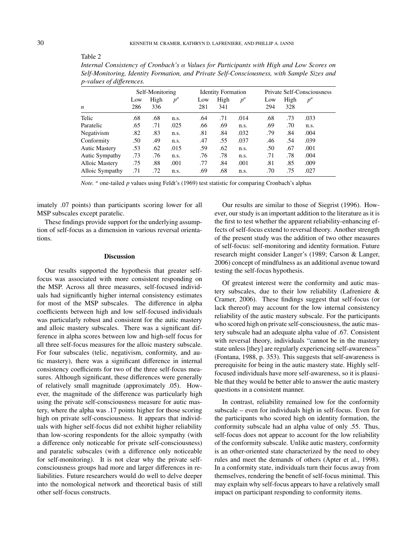| $p$ -values of alfferences. |                 |      |       |     |                           |       |     |                                   |       |  |  |
|-----------------------------|-----------------|------|-------|-----|---------------------------|-------|-----|-----------------------------------|-------|--|--|
|                             | Self-Monitoring |      |       |     | <b>Identity Formation</b> |       |     | <b>Private Self-Consciousness</b> |       |  |  |
|                             | Low             | High | $p^a$ | Low | High                      | $p^a$ | Low | High                              | $p^a$ |  |  |
| n                           | 286             | 336  |       | 281 | 341                       |       | 294 | 328                               |       |  |  |
| Telic                       | .68             | .68  | n.s.  | .64 | .71                       | .014  | .68 | .73                               | .033  |  |  |
| Paratelic                   | .65             | .71  | .025  | .66 | .69                       | n.s.  | .69 | .70                               | n.s.  |  |  |
| Negativism                  | .82             | .83  | n.s.  | .81 | .84                       | .032  | .79 | .84                               | .004  |  |  |
| Conformity                  | .50             | .49  | n.s.  | .47 | .55                       | .037  | .46 | .54                               | .039  |  |  |
| Autic Mastery               | .53             | .62  | .015  | .59 | .62                       | n.s.  | .50 | .67                               | .001  |  |  |
| Autic Sympathy              | .73             | .76  | n.s.  | .76 | .78                       | n.s.  | .71 | .78                               | .004  |  |  |
| Alloic Mastery              | .75             | .88  | .001  | .77 | .84                       | .001  | .81 | .85                               | .009  |  |  |
| Alloic Sympathy             | .71             | .72  | n.s.  | .69 | .68                       | n.s.  | .70 | .75                               | .027  |  |  |

*Internal Consistency of Cronbach's α Values for Participants with High and Low Scores on Self-Monitoring, Identity Formation, and Private Self-Consciousness, with Sample Sizes and p-values of di*ff*erences.*

*Note. a* one-tailed *p* values using Feldt's (1969) test statistic for comparing Cronbach's alphas

imately .07 points) than participants scoring lower for all MSP subscales except paratelic.

These findings provide support for the underlying assumption of self-focus as a dimension in various reversal orientations.

#### **Discussion**

Our results supported the hypothesis that greater selffocus was associated with more consistent responding on the MSP. Across all three measures, self-focused individuals had significantly higher internal consistency estimates for most of the MSP subscales. The difference in alpha coefficients between high and low self-focused individuals was particularly robust and consistent for the autic mastery and alloic mastery subscales. There was a significant difference in alpha scores between low and high-self focus for all three self-focus measures for the alloic mastery subscale. For four subscales (telic, negativism, conformity, and autic mastery), there was a significant difference in internal consistency coefficients for two of the three self-focus measures. Although significant, these differences were generally of relatively small magnitude (approximately .05). However, the magnitude of the difference was particularly high using the private self-consciousness measure for autic mastery, where the alpha was .17 points higher for those scoring high on private self-consciousness. It appears that individuals with higher self-focus did not exhibit higher reliability than low-scoring respondents for the alloic sympathy (with a difference only noticeable for private self-consciousness) and paratelic subscales (with a difference only noticeable for self-monitoring). It is not clear why the private selfconsciousness groups had more and larger differences in reliabilities. Future researchers would do well to delve deeper into the nomological network and theoretical basis of still other self-focus constructs.

Our results are similar to those of Siegrist (1996). However, our study is an important addition to the literature as it is the first to test whether the apparent reliability-enhancing effects of self-focus extend to reversal theory. Another strength of the present study was the addition of two other measures of self-focus: self-monitoring and identity formation. Future research might consider Langer's (1989; Carson & Langer, 2006) concept of mindfulness as an additional avenue toward testing the self-focus hypothesis.

Of greatest interest were the conformity and autic mastery subscales, due to their low reliability (Lafreniere & Cramer, 2006). These findings suggest that self-focus (or lack thereof) may account for the low internal consistency reliability of the autic mastery subscale. For the participants who scored high on private self-consciousness, the autic mastery subscale had an adequate alpha value of .67. Consistent with reversal theory, individuals "cannot be in the mastery state unless [they] are regularly experiencing self-awareness" (Fontana, 1988, p. 353). This suggests that self-awareness is prerequisite for being in the autic mastery state. Highly selffocused individuals have more self-awareness, so it is plausible that they would be better able to answer the autic mastery questions in a consistent manner.

In contrast, reliability remained low for the conformity subscale – even for individuals high in self-focus. Even for the participants who scored high on identity formation, the conformity subscale had an alpha value of only .55. Thus, self-focus does not appear to account for the low reliability of the conformity subscale. Unlike autic mastery, conformity is an other-oriented state characterized by the need to obey rules and meet the demands of others (Apter et al., 1998). In a conformity state, individuals turn their focus away from themselves, rendering the benefit of self-focus minimal. This may explain why self-focus appears to have a relatively small impact on participant responding to conformity items.

Table 2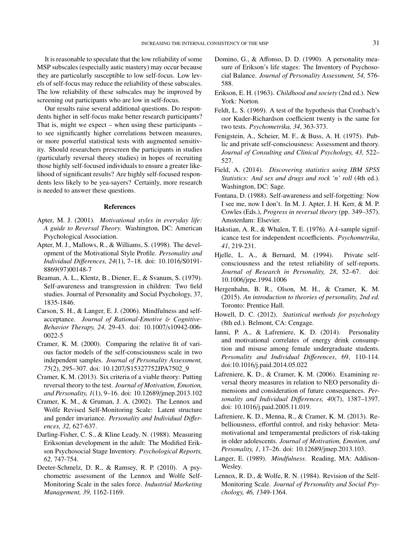It is reasonable to speculate that the low reliability of some MSP subscales (especially autic mastery) may occur because they are particularly susceptible to low self-focus. Low levels of self-focus may reduce the reliability of these subscales. The low reliability of these subscales may be improved by screening out participants who are low in self-focus.

Our results raise several additional questions. Do respondents higher in self-focus make better research participants? That is, might we expect – when using these participants – to see significantly higher correlations between measures, or more powerful statistical tests with augmented sensitivity. Should researchers prescreen the participants in studies (particularly reversal theory studies) in hopes of recruiting those highly self-focused individuals to ensure a greater likelihood of significant results? Are highly self-focused respondents less likely to be yea-sayers? Certainly, more research is needed to answer these questions.

#### References

- Apter, M. J. (2001). *Motivational styles in everyday life: A guide to Reversal Theory.* Washington, DC: American Psychological Association.
- Apter, M. J., Mallows, R., & Williams, S. (1998). The development of the Motivational Style Profile. *Personality and Individual Di*ff*erences, 24*(1), 7–18. doi: 10.1016/S0191- 8869(97)00148-7
- Beaman, A. L., Klentz, B., Diener, E., & Svanum, S. (1979). Self-awareness and transgression in children: Two field studies. Journal of Personality and Social Psychology, 37, 1835-1846.
- Carson, S. H., & Langer, E. J. (2006). Mindfulness and selfacceptance. *Journal of Rational-Emotive* & *Cognitive-Behavior Therapy, 24,* 29-43. doi: 10.1007/s10942-006- 0022-5
- Cramer, K. M. (2000). Comparing the relative fit of various factor models of the self-consciousness scale in two independent samples. *Journal of Personality Assessment, 75*(2), 295–307. doi: 10.1207/S15327752JPA7502\_9
- Cramer, K. M. (2013). Six criteria of a viable theory: Putting reversal theory to the test. *Journal of Motivation, Emotion, and Personality, 1*(1), 9–16. doi: 10.12689/jmep.2013.102
- Cramer, K. M., & Gruman, J. A. (2002). The Lennox and Wolfe Revised Self-Monitoring Scale: Latent structure and gender invariance. *Personality and Individual Di*ff*erences, 32,* 627-637.
- Darling-Fisher, C. S., & Kline Leady, N. (1988). Measuring Eriksonian development in the adult: The Modified Erikson Psychosocial Stage Inventory. *Psychological Reports, 62,* 747-754.
- Deeter-Schmelz, D. R., & Ramsey, R. P. (2010). A psychometric assessment of the Lennox and Wolfe Self-Monitoring Scale in the sales force. *Industrial Marketing Management, 39,* 1162-1169.
- Domino, G., & Affonso, D. D. (1990). A personality measure of Erikson's life stages: The Inventory of Psychosocial Balance. *Journal of Personality Assessment, 54,* 576- 588.
- Erikson, E. H. (1963). *Childhood and society* (2nd ed.). New York: Norton.
- Feldt, L. S. (1969). A test of the hypothesis that Cronbach's αor Kuder-Richardson coefficient twenty is the same for two tests. *Psychometrika, 34*, 363-373.
- Fenigstein, A., Scheier, M. F., & Buss, A. H. (1975). Public and private self-consciousness: Assessment and theory. *Journal of Consulting and Clinical Psychology, 43,* 522– 527.
- Field, A. (2014). *Discovering statistics using IBM SPSS Statistics: And sex and drugs and rock 'n' roll* (4th ed.). Washington, DC: Sage.
- Fontana, D. (1988). Self-awareness and self-forgetting: Now I see me, now I don't. In M. J. Apter, J. H. Kerr, & M. P. Cowles (Eds.), *Progress in reversal theory* (pp. 349–357). Amsterdam: Elsevier.
- Hakstian, A. R., & Whalen, T. E. (1976). A *k*-sample significance test for independent αcoefficients. *Psychometrika*, *41*, 219-231.
- Hjelle, L. A., & Bernard, M. (1994). Private selfconsciousness and the retest reliability of self-reports. *Journal of Research in Personality, 28*, 52–67. doi: 10.1006/jrpe.1994.1006
- Hergenhahn, B. R., Olson, M. H., & Cramer, K. M. (2015). *An introduction to theories of personality, 2nd ed.* Toronto: Prentice Hall.
- Howell, D. C. (2012). *Statistical methods for psychology* (8th ed.). Belmont, CA: Cengage.
- Ianni, P. A., & Lafreniere, K. D. (2014). Personality and motivational correlates of energy drink consumption and misuse among female undergraduate students. *Personality and Individual Di*ff*erences*, 69, 110-114. doi:10.1016/j.paid.2014.05.022
- Lafreniere, K. D., & Cramer, K. M. (2006). Examining reversal theory measures in relation to NEO personality dimensions and consideration of future consequences. *Personality and Individual Di*ff*erences, 40*(7), 1387–1397. doi: 10.1016/j.paid.2005.11.019.
- Lafreniere, K. D., Menna, R., & Cramer, K. M. (2013). Rebelliousness, effortful control, and risky behavior: Metamotivational and temperamental predictors of risk-taking in older adolescents. *Journal of Motivation, Emotion, and Personality, 1*, 17–26. doi: 10.12689/jmep.2013.103.
- Langer, E. (1989). *Mindfulness*. Reading, MA: Addison-Wesley.
- Lennox, R. D., & Wolfe, R. N. (1984). Revision of the Self-Monitoring Scale. *Journal of Personality and Social Psychology, 46, 1*349-1364.